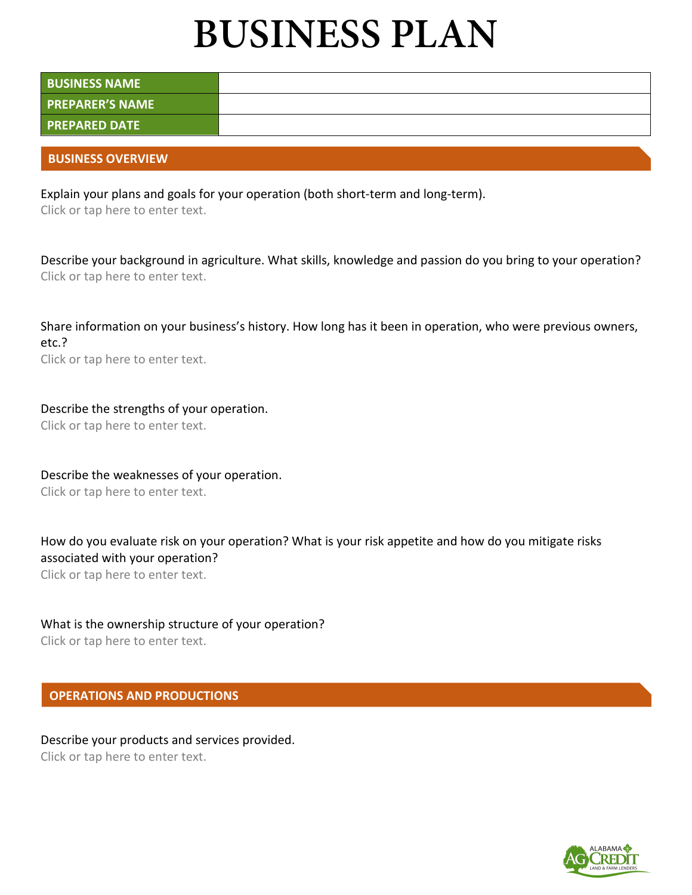# **BUSINESS PLAN**

| <b>BUSINESS NAME</b>   |  |
|------------------------|--|
| <b>PREPARER'S NAME</b> |  |
| <b>PREPARED DATE</b>   |  |

#### **BUSINESS OVERVIEW**

Explain your plans and goals for your operation (both short-term and long-term).

Click or tap here to enter text.

Describe your background in agriculture. What skills, knowledge and passion do you bring to your operation? Click or tap here to enter text.

Share information on your business's history. How long has it been in operation, who were previous owners, etc.?

Click or tap here to enter text.

## Describe the strengths of your operation.

Click or tap here to enter text.

Describe the weaknesses of your operation.

Click or tap here to enter text.

How do you evaluate risk on your operation? What is your risk appetite and how do you mitigate risks associated with your operation?

Click or tap here to enter text.

## What is the ownership structure of your operation?

Click or tap here to enter text.

## **OPERATIONS AND PRODUCTIONS**

# Describe your products and services provided.

Click or tap here to enter text.

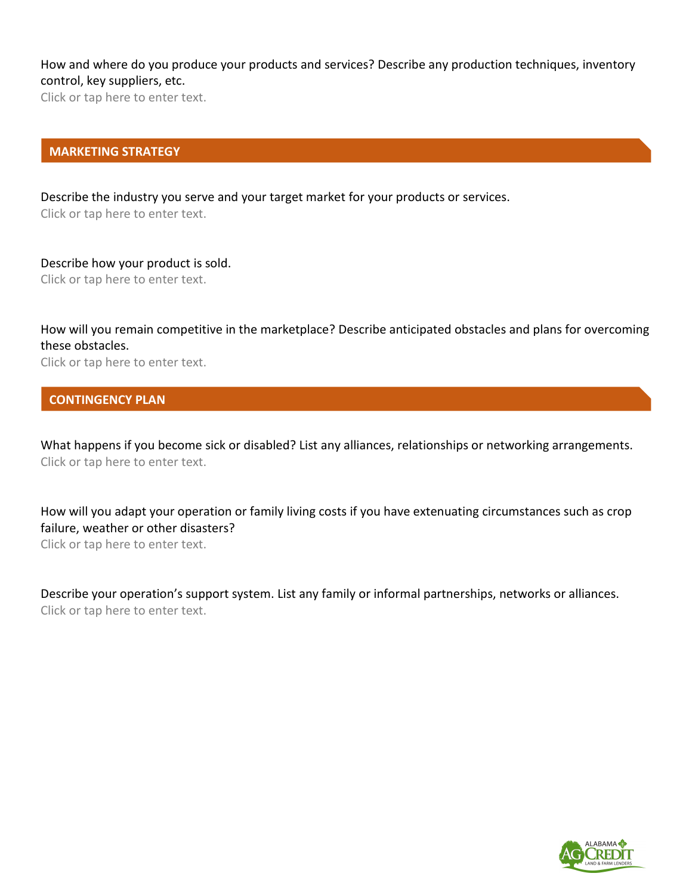## How and where do you produce your products and services? Describe any production techniques, inventory control, key suppliers, etc.

Click or tap here to enter text.

#### **MARKETING STRATEGY**

Describe the industry you serve and your target market for your products or services. Click or tap here to enter text.

Describe how your product is sold. Click or tap here to enter text.

How will you remain competitive in the marketplace? Describe anticipated obstacles and plans for overcoming these obstacles.

Click or tap here to enter text.

#### **CONTINGENCY PLAN**

What happens if you become sick or disabled? List any alliances, relationships or networking arrangements. Click or tap here to enter text.

How will you adapt your operation or family living costs if you have extenuating circumstances such as crop failure, weather or other disasters?

Click or tap here to enter text.

Describe your operation's support system. List any family or informal partnerships, networks or alliances. Click or tap here to enter text.